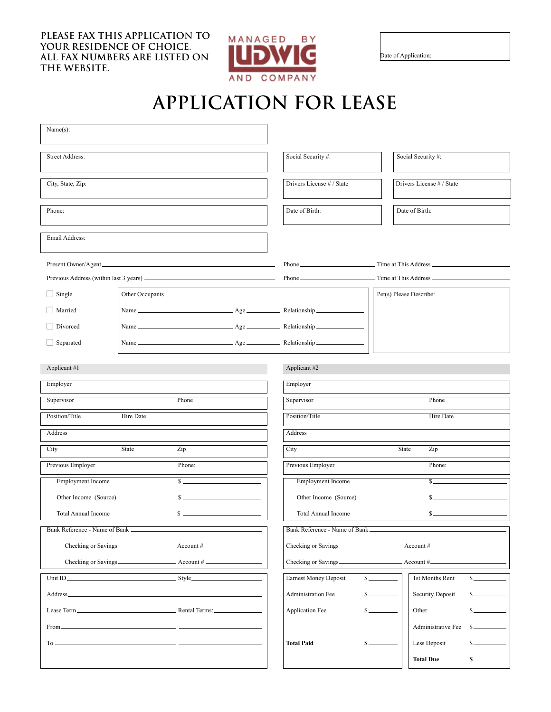**PLEASE FAX THIS APPLICATION TO YOUR RESIDENCE OF CHOICE. ALL FAX NUMBERS ARE LISTED ON THE WEBSITE.**



Date of Application:

## **APPLICATION FOR LEASE**

| Name(s):                                                                                                                                                                                                                                              |                                  |                              |                              |                                       |                           |                  |  |  |
|-------------------------------------------------------------------------------------------------------------------------------------------------------------------------------------------------------------------------------------------------------|----------------------------------|------------------------------|------------------------------|---------------------------------------|---------------------------|------------------|--|--|
| <b>Street Address:</b>                                                                                                                                                                                                                                |                                  |                              | Social Security #:           |                                       | Social Security #:        |                  |  |  |
| City, State, Zip:                                                                                                                                                                                                                                     |                                  |                              | Drivers License # / State    |                                       | Drivers License # / State |                  |  |  |
| Phone:                                                                                                                                                                                                                                                |                                  |                              | Date of Birth:               |                                       | Date of Birth:            |                  |  |  |
| Email Address:                                                                                                                                                                                                                                        |                                  |                              |                              |                                       |                           |                  |  |  |
| Present Owner/Agent                                                                                                                                                                                                                                   |                                  |                              |                              |                                       |                           |                  |  |  |
|                                                                                                                                                                                                                                                       |                                  |                              |                              |                                       |                           |                  |  |  |
| $\Box$ Single                                                                                                                                                                                                                                         | Other Occupants                  |                              |                              |                                       | Pet(s) Please Describe:   |                  |  |  |
| Married                                                                                                                                                                                                                                               |                                  |                              |                              |                                       |                           |                  |  |  |
| □ Divorced                                                                                                                                                                                                                                            |                                  |                              |                              |                                       |                           |                  |  |  |
| $\Box$ Separated                                                                                                                                                                                                                                      |                                  |                              |                              |                                       |                           |                  |  |  |
| Applicant #1                                                                                                                                                                                                                                          |                                  |                              |                              | Applicant #2                          |                           |                  |  |  |
| Employer                                                                                                                                                                                                                                              |                                  |                              |                              | Employer                              |                           |                  |  |  |
| Supervisor                                                                                                                                                                                                                                            |                                  | Phone                        |                              | Supervisor                            |                           | Phone            |  |  |
| Position/Title<br>Hire Date                                                                                                                                                                                                                           |                                  |                              |                              | Position/Title<br><b>Hire Date</b>    |                           |                  |  |  |
| Address                                                                                                                                                                                                                                               |                                  |                              |                              | Address                               |                           |                  |  |  |
| City                                                                                                                                                                                                                                                  | State<br>Zip                     |                              |                              | City                                  |                           | State<br>Zip     |  |  |
| Previous Employer                                                                                                                                                                                                                                     | Phone:                           |                              |                              | Previous Employer                     | Phone:                    |                  |  |  |
| <b>Employment Income</b>                                                                                                                                                                                                                              |                                  | $s$ $\overline{\phantom{a}}$ |                              | <b>Employment Income</b>              |                           | S.               |  |  |
| Other Income (Source)                                                                                                                                                                                                                                 |                                  |                              |                              | Other Income (Source)                 |                           |                  |  |  |
| <b>Total Annual Income</b>                                                                                                                                                                                                                            | $S =$                            |                              |                              | <b>Total Annual Income</b><br>$S_{-}$ |                           |                  |  |  |
|                                                                                                                                                                                                                                                       | Bank Reference - Name of Bank __ |                              |                              | Bank Reference - Name of Bank         |                           |                  |  |  |
| Checking or Savings<br>$Account # \_$                                                                                                                                                                                                                 |                                  |                              |                              |                                       |                           |                  |  |  |
|                                                                                                                                                                                                                                                       |                                  |                              |                              |                                       |                           |                  |  |  |
|                                                                                                                                                                                                                                                       |                                  |                              | <b>Earnest Money Deposit</b> |                                       | 1st Months Rent           |                  |  |  |
| the control of the control of the control of the control of the control of the control of the control of the control of the control of the control of the control of the control of the control of the control of the control<br>Address <sub>—</sub> |                                  |                              | <b>Administration Fee</b>    |                                       | Security Deposit          |                  |  |  |
|                                                                                                                                                                                                                                                       |                                  |                              |                              | Application Fee                       |                           | Other            |  |  |
| <u> 1989 - Johann Barn, mars eta bainar eta bainar eta baina eta baina eta baina eta baina eta baina eta baina e</u><br>From —                                                                                                                        |                                  |                              |                              |                                       | Administrative Fee        |                  |  |  |
|                                                                                                                                                                                                                                                       |                                  |                              | <b>Total Paid</b>            |                                       | Less Deposit              |                  |  |  |
|                                                                                                                                                                                                                                                       |                                  |                              |                              |                                       |                           | <b>Total Due</b> |  |  |